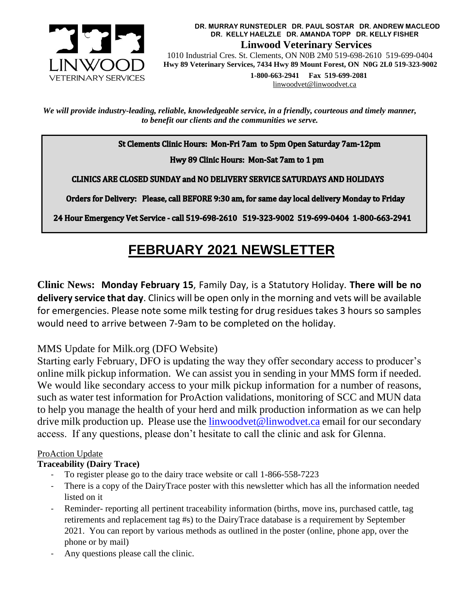

**DR. MURRAY RUNSTEDLER DR. PAUL SOSTAR DR. ANDREW MACLEOD DR. KELLY HAELZLE DR. AMANDA TOPP DR. KELLY FISHER Linwood Veterinary Services** 1010 Industrial Cres. St. Clements, ON N0B 2M0 519-698-2610 519-699-0404

 **Hwy 89 Veterinary Services, 7434 Hwy 89 Mount Forest, ON N0G 2L0 519-323-9002**

 **1-800-663-2941 Fax 519-699-2081** [linwoodvet@linwoodvet.ca](mailto:linwoodvet@linwoodvet.ca)

*We will provide industry-leading, reliable, knowledgeable service, in a friendly, courteous and timely manner, to benefit our clients and the communities we serve.*

St Clements Clinic Hours: Mon-Fri 7am to 5pm Open Saturday 7am-12pm

Hwy 89 Clinic Hours: Mon-Sat 7am to 1 pm

CLINICS ARE CLOSED SUNDAY and NO DELIVERY SERVICE SATURDAYS AND HOLIDAYS

Orders for Delivery: Please, call BEFORE 9:30 am, for same day local delivery Monday to Friday

24 Hour Emergency Vet Service - call 519-698-2610 519-323-9002 519-699-0404 1-800-663-2941

# **FEBRUARY 2021 NEWSLETTER**

**Clinic News: Monday February 15**, Family Day, is a Statutory Holiday. **There will be no delivery service that day**. Clinics will be open only in the morning and vets will be available for emergencies. Please note some milk testing for drug residues takes 3 hours so samples would need to arrive between 7-9am to be completed on the holiday.

## MMS Update for Milk.org (DFO Website)

Starting early February, DFO is updating the way they offer secondary access to producer's online milk pickup information. We can assist you in sending in your MMS form if needed. We would like secondary access to your milk pickup information for a number of reasons, such as water test information for ProAction validations, monitoring of SCC and MUN data to help you manage the health of your herd and milk production information as we can help drive milk production up. Please use the  $limwoodvet@limwodvet.ca$  email for our secondary access. If any questions, please don't hesitate to call the clinic and ask for Glenna.

## ProAction Update

## **Traceability (Dairy Trace)**

- To register please go to the dairy trace website or call 1-866-558-7223
- There is a copy of the DairyTrace poster with this newsletter which has all the information needed listed on it
- Reminder- reporting all pertinent traceability information (births, move ins, purchased cattle, tag retirements and replacement tag #s) to the DairyTrace database is a requirement by September 2021. You can report by various methods as outlined in the poster (online, phone app, over the phone or by mail)
- Any questions please call the clinic.